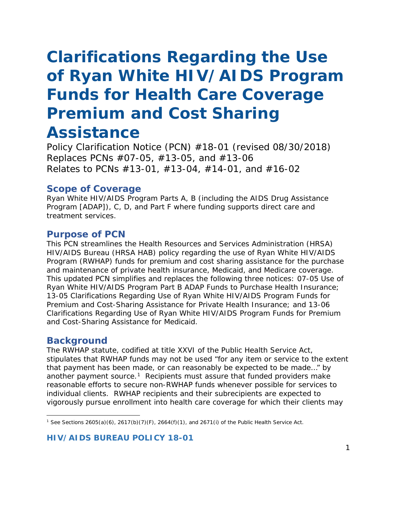# *Clarifications Regarding the Use of Ryan White HIV/AIDS Program Funds for Health Care Coverage Premium and Cost Sharing*

# *Assistance*

*Policy Clarification Notice (PCN) #18-01 (revised 08/30/2018) Replaces PCNs #07-05, #13-05, and #13-06 Relates to PCNs #13-01, #13-04, #14-01, and #16-02*

# **Scope of Coverage**

Ryan White HIV/AIDS Program Parts A, B (including the AIDS Drug Assistance Program [ADAP]), C, D, and Part F where funding supports direct care and treatment services.

# **Purpose of PCN**

This PCN streamlines the Health Resources and Services Administration (HRSA) HIV/AIDS Bureau (HRSA HAB) policy regarding the use of Ryan White HIV/AIDS Program (RWHAP) funds for premium and cost sharing assistance for the purchase and maintenance of private health insurance, Medicaid, and Medicare coverage. This updated PCN simplifies and replaces the following three notices: 07-05 *Use of Ryan White HIV/AIDS Program Part B ADAP Funds to Purchase Health Insurance*; 13-05 *Clarifications Regarding Use of Ryan White HIV/AIDS Program Funds for Premium and Cost-Sharing Assistance for Private Health Insurance*; and 13-06 *Clarifications Regarding Use of Ryan White HIV/AIDS Program Funds for Premium and Cost-Sharing Assistance for Medicaid*.

## **Background**

 $\overline{\phantom{a}}$ 

The RWHAP statute, codified at title XXVI of the Public Health Service Act, stipulates that RWHAP funds may not be used "for any item or service to the extent that payment has been made, or can reasonably be expected to be made…" by another payment source.<sup>[1](#page-0-0)</sup> Recipients must assure that funded providers make reasonable efforts to secure non-RWHAP funds whenever possible for services to individual clients. RWHAP recipients and their subrecipients are expected to vigorously pursue enrollment into health care coverage for which their clients may

**HIV/AIDS BUREAU POLICY 18-01**

<span id="page-0-0"></span><sup>1</sup> *See* Sections 2605(a)(6), 2617(b)(7)(F), 2664(f)(1), and 2671(i) of the Public Health Service Act.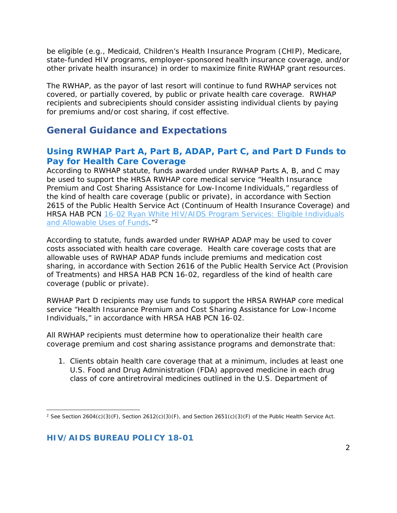be eligible (e.g., Medicaid, Children's Health Insurance Program (CHIP), Medicare, state-funded HIV programs, employer-sponsored health insurance coverage, and/or other private health insurance) in order to maximize finite RWHAP grant resources.

The RWHAP, as the payor of last resort will continue to fund RWHAP services not covered, or partially covered, by public or private health care coverage. RWHAP recipients and subrecipients should consider assisting individual clients by paying for premiums and/or cost sharing, if cost effective.

# **General Guidance and Expectations**

# **Using RWHAP Part A, Part B, ADAP, Part C, and Part D Funds to Pay for Health Care Coverage**

According to RWHAP statute, funds awarded under RWHAP Parts A, B, and C may be used to support the HRSA RWHAP core medical service "Health Insurance Premium and Cost Sharing Assistance for Low-Income Individuals," regardless of the kind of health care coverage (public or private), in accordance with Section 2615 of the Public Health Service Act (Continuum of Health Insurance Coverage) and HRSA HAB PCN 16-02 *[Ryan White HIV/AIDS Program Services: Eligible Individuals](https://hab.hrsa.gov/sites/default/files/hab/program-grants-management/ServiceCategoryPCN_16-02Final.pdf)  [and Allowable Uses of Funds](https://hab.hrsa.gov/sites/default/files/hab/program-grants-management/ServiceCategoryPCN_16-02Final.pdf)*."[2](#page-1-0)

According to statute, funds awarded under RWHAP ADAP may be used to cover costs associated with health care coverage. Health care coverage costs that are allowable uses of RWHAP ADAP funds include premiums and medication cost sharing, in accordance with Section 2616 of the Public Health Service Act (Provision of Treatments) and HRSA HAB PCN 16-02, regardless of the kind of health care coverage (public or private).

RWHAP Part D recipients may use funds to support the HRSA RWHAP core medical service "Health Insurance Premium and Cost Sharing Assistance for Low-Income Individuals," in accordance with HRSA HAB PCN 16-02.

All RWHAP recipients must determine how to operationalize their health care coverage premium and cost sharing assistance programs and demonstrate that:

1. Clients obtain health care coverage that at a minimum, includes at least one U.S. Food and Drug Administration (FDA) approved medicine in each drug class of core antiretroviral medicines outlined in the U.S. Department of

<span id="page-1-0"></span> $\overline{\phantom{a}}$ <sup>2</sup> *See* Section 2604(c)(3)(F), Section 2612(c)(3)(F), and Section 2651(c)(3)(F) of the Public Health Service Act.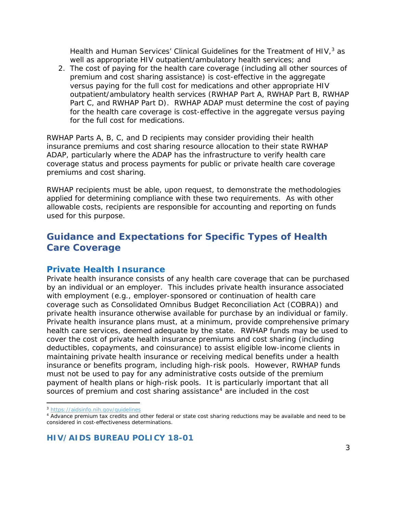Health and Human Services' Clinical Guidelines for the Treatment of HIV $<sub>1</sub>$ <sup>[3](#page-2-0)</sup> as</sub> well as appropriate HIV outpatient/ambulatory health services; and

2. The cost of paying for the health care coverage (including all other sources of premium and cost sharing assistance) is cost-effective in the aggregate versus paying for the full cost for medications *and* other appropriate HIV outpatient/ambulatory health services (RWHAP Part A, RWHAP Part B, RWHAP Part C, and RWHAP Part D). RWHAP ADAP must determine the cost of paying for the health care coverage is cost-effective in the aggregate *versus paying for the full cost for medications.*

RWHAP Parts A, B, C, and D recipients may consider providing their health insurance premiums and cost sharing resource allocation to their state RWHAP ADAP, particularly where the ADAP has the infrastructure to verify health care coverage status and process payments for public or private health care coverage premiums and cost sharing.

RWHAP recipients must be able, upon request, to demonstrate the methodologies applied for determining compliance with these two requirements. As with other allowable costs, recipients are responsible for accounting and reporting on funds used for this purpose.

# **Guidance and Expectations for Specific Types of Health Care Coverage**

#### **Private Health Insurance**

Private health insurance consists of any health care coverage that can be purchased by an individual or an employer. This includes private health insurance associated with employment (e.g., employer-sponsored or continuation of health care coverage such as Consolidated Omnibus Budget Reconciliation Act (COBRA)) and private health insurance otherwise available for purchase by an individual or family. Private health insurance plans must, at a minimum, provide comprehensive primary health care services, deemed adequate by the state. RWHAP funds may be used to cover the cost of private health insurance premiums and cost sharing (including deductibles, copayments, and coinsurance) to assist eligible low-income clients in maintaining private health insurance or receiving medical benefits under a health insurance or benefits program, including high-risk pools. However, RWHAP funds must not be used to pay for any administrative costs outside of the premium payment of health plans or high-risk pools. It is particularly important that all sources of premium and cost sharing assistance<sup>[4](#page-2-1)</sup> are included in the cost

l <sup>3</sup> <https://aidsinfo.nih.gov/guidelines>

<span id="page-2-1"></span><span id="page-2-0"></span><sup>4</sup> Advance premium tax credits and other federal or state cost sharing reductions may be available and need to be considered in cost-effectiveness determinations.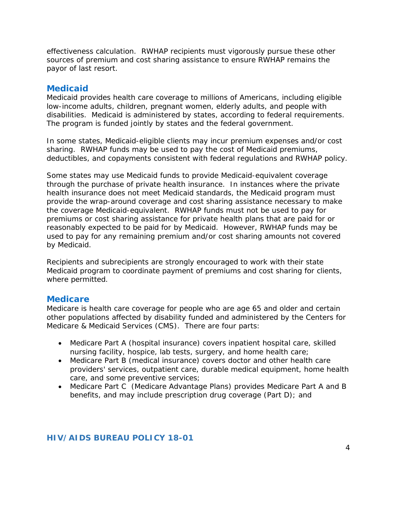effectiveness calculation. RWHAP recipients must vigorously pursue these other sources of premium and cost sharing assistance to ensure RWHAP remains the payor of last resort.

## **Medicaid**

Medicaid provides health care coverage to millions of Americans, including eligible low-income adults, children, pregnant women, elderly adults, and people with disabilities. Medicaid is administered by states, according to federal requirements. The program is funded jointly by states and the federal government.

In some states, Medicaid-eligible clients may incur premium expenses and/or cost sharing. RWHAP funds may be used to pay the cost of Medicaid premiums, deductibles, and copayments consistent with federal regulations and RWHAP policy.

Some states may use Medicaid funds to provide Medicaid-equivalent coverage through the purchase of private health insurance. In instances where the private health insurance does not meet Medicaid standards, the Medicaid program must provide the wrap-around coverage and cost sharing assistance necessary to make the coverage Medicaid-equivalent. RWHAP funds must not be used to pay for premiums or cost sharing assistance for private health plans that are paid for or reasonably expected to be paid for by Medicaid. However, RWHAP funds may be used to pay for any remaining premium and/or cost sharing amounts not covered by Medicaid.

Recipients and subrecipients are strongly encouraged to work with their state Medicaid program to coordinate payment of premiums and cost sharing for clients, where permitted.

#### **Medicare**

Medicare is health care coverage for people who are age 65 and older and certain other populations affected by disability funded and administered by the Centers for Medicare & Medicaid Services (CMS). There are four parts:

- Medicare Part A (hospital insurance) covers inpatient hospital care, skilled nursing facility, hospice, lab tests, surgery, and home health care;
- Medicare Part B (medical insurance) covers doctor and other health care providers' services, outpatient care, durable medical equipment, home health care, and some preventive services;
- Medicare Part C (Medicare Advantage Plans) provides Medicare Part A and B benefits, and may include prescription drug coverage (Part D); and

#### **HIV/AIDS BUREAU POLICY 18-01**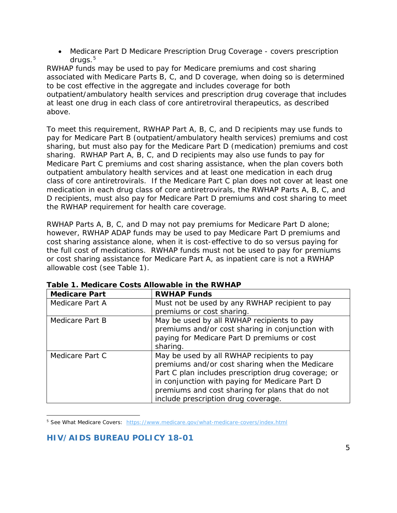• Medicare Part D Medicare Prescription Drug Coverage - covers prescription drugs. $5$ 

RWHAP funds may be used to pay for Medicare premiums and cost sharing associated with Medicare Parts B, C, and D coverage, when doing so is determined to be cost effective in the aggregate and includes coverage for both outpatient/ambulatory health services and prescription drug coverage that includes at least one drug in each class of core antiretroviral therapeutics, as described above.

To meet this requirement, RWHAP Part A, B, C, and D recipients may use funds to pay for Medicare Part B (outpatient/ambulatory health services) premiums and cost sharing, but must also pay for the Medicare Part D (medication) premiums and cost sharing. RWHAP Part A, B, C, and D recipients may also use funds to pay for Medicare Part C premiums and cost sharing assistance, when the plan covers both outpatient ambulatory health services and at least one medication in each drug class of core antiretrovirals. If the Medicare Part C plan does not cover at least one medication in each drug class of core antiretrovirals, the RWHAP Parts A, B, C, and D recipients, must also pay for Medicare Part D premiums and cost sharing to meet the RWHAP requirement for health care coverage.

RWHAP Parts A, B, C, and D may not pay premiums for Medicare Part D alone; however, *RWHAP ADAP funds may be used to pay Medicare Part D premiums and cost sharing assistance alone, when it is cost-effective to do so versus paying for the full cost of medications.* RWHAP funds must not be used to pay for premiums or cost sharing assistance for Medicare Part A, as inpatient care is not a RWHAP allowable cost (see Table 1).

| <b>Medicare Part</b> | <b>RWHAP Funds</b>                                  |
|----------------------|-----------------------------------------------------|
| Medicare Part A      | Must not be used by any RWHAP recipient to pay      |
|                      | premiums or cost sharing.                           |
| Medicare Part B      | May be used by all RWHAP recipients to pay          |
|                      | premiums and/or cost sharing in conjunction with    |
|                      | paying for Medicare Part D premiums or cost         |
|                      | sharing.                                            |
| Medicare Part C      | May be used by all RWHAP recipients to pay          |
|                      | premiums and/or cost sharing when the Medicare      |
|                      | Part C plan includes prescription drug coverage; or |
|                      | in conjunction with paying for Medicare Part D      |
|                      | premiums and cost sharing for plans that do not     |
|                      | include prescription drug coverage.                 |

**Table 1. Medicare Costs Allowable in the RWHAP**

<span id="page-4-0"></span> $\overline{\phantom{a}}$ <sup>5</sup> See What Medicare Covers: <https://www.medicare.gov/what-medicare-covers/index.html>